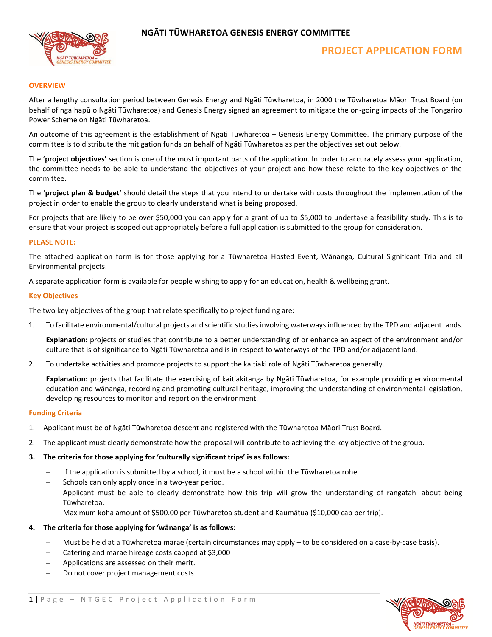

# **NGĀTI TŪWHARETOA GENESIS ENERGY COMMITTEE**

### **OVERVIEW**

After a lengthy consultation period between Genesis Energy and Ngāti Tūwharetoa, in 2000 the Tūwharetoa Māori Trust Board (on behalf of nga hapū o Ngāti Tūwharetoa) and Genesis Energy signed an agreement to mitigate the on-going impacts of the Tongariro Power Scheme on Ngāti Tūwharetoa.

An outcome of this agreement is the establishment of Ngāti Tūwharetoa – Genesis Energy Committee. The primary purpose of the committee is to distribute the mitigation funds on behalf of Ngāti Tūwharetoa as per the objectives set out below.

The '**project objectives'** section is one of the most important parts of the application. In order to accurately assess your application, the committee needs to be able to understand the objectives of your project and how these relate to the key objectives of the committee.

The '**project plan & budget'** should detail the steps that you intend to undertake with costs throughout the implementation of the project in order to enable the group to clearly understand what is being proposed.

For projects that are likely to be over \$50,000 you can apply for a grant of up to \$5,000 to undertake a feasibility study. This is to ensure that your project is scoped out appropriately before a full application is submitted to the group for consideration.

#### **PLEASE NOTE:**

The attached application form is for those applying for a Tūwharetoa Hosted Event, Wānanga, Cultural Significant Trip and all Environmental projects.

A separate application form is available for people wishing to apply for an education, health & wellbeing grant.

#### **Key Objectives**

The two key objectives of the group that relate specifically to project funding are:

1. To facilitate environmental/cultural projects and scientific studies involving waterways influenced by the TPD and adjacent lands.

**Explanation:** projects or studies that contribute to a better understanding of or enhance an aspect of the environment and/or culture that is of significance to Ngāti Tūwharetoa and is in respect to waterways of the TPD and/or adjacent land.

2. To undertake activities and promote projects to support the kaitiaki role of Ngāti Tūwharetoa generally.

**Explanation:** projects that facilitate the exercising of kaitiakitanga by Ngāti Tūwharetoa, for example providing environmental education and wānanga, recording and promoting cultural heritage, improving the understanding of environmental legislation, developing resources to monitor and report on the environment.

#### **Funding Criteria**

- 1. Applicant must be of Ngāti Tūwharetoa descent and registered with the Tūwharetoa Māori Trust Board.
- 2. The applicant must clearly demonstrate how the proposal will contribute to achieving the key objective of the group.

#### **3. The criteria for those applying for 'culturally significant trips' is as follows:**

- − If the application is submitted by a school, it must be a school within the Tūwharetoa rohe.
- Schools can only apply once in a two-year period.
- − Applicant must be able to clearly demonstrate how this trip will grow the understanding of rangatahi about being Tūwharetoa.
- − Maximum koha amount of \$500.00 per Tūwharetoa student and Kaumātua (\$10,000 cap per trip).

#### **4. The criteria for those applying for 'wānanga' is as follows:**

- − Must be held at a Tūwharetoa marae (certain circumstances may apply to be considered on a case-by-case basis).
- − Catering and marae hireage costs capped at \$3,000
- − Applications are assessed on their merit.
- Do not cover project management costs.

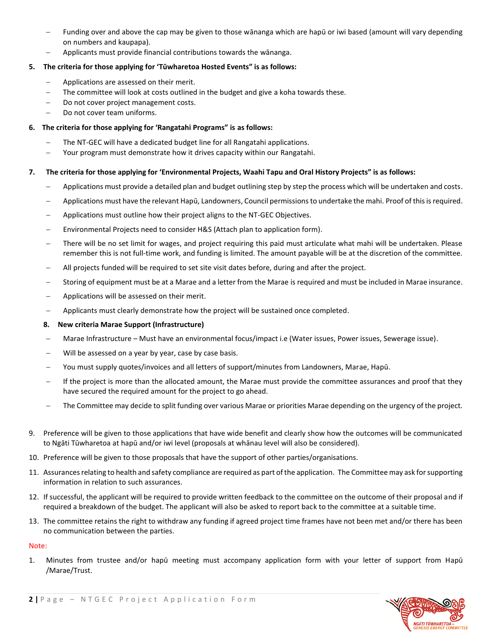- Funding over and above the cap may be given to those wānanga which are hapū or iwi based (amount will vary depending on numbers and kaupapa).
- − Applicants must provide financial contributions towards the wānanga.

# **5. The criteria for those applying for 'Tūwharetoa Hosted Events" is as follows:**

- − Applications are assessed on their merit.
- The committee will look at costs outlined in the budget and give a koha towards these.
- Do not cover project management costs.
- − Do not cover team uniforms.

# **6. The criteria for those applying for 'Rangatahi Programs" is as follows:**

- The NT-GEC will have a dedicated budget line for all Rangatahi applications.
- − Your program must demonstrate how it drives capacity within our Rangatahi.

# **7. The criteria for those applying for 'Environmental Projects, Waahi Tapu and Oral History Projects" is as follows:**

- − Applications must provide a detailed plan and budget outlining step by step the process which will be undertaken and costs.
- − Applications must have the relevant Hapū, Landowners, Council permissions to undertake the mahi. Proof of this is required.
- Applications must outline how their project aligns to the NT-GEC Objectives.
- Environmental Projects need to consider H&S (Attach plan to application form).
- There will be no set limit for wages, and project requiring this paid must articulate what mahi will be undertaken. Please remember this is not full-time work, and funding is limited. The amount payable will be at the discretion of the committee.
- − All projects funded will be required to set site visit dates before, during and after the project.
- − Storing of equipment must be at a Marae and a letter from the Marae is required and must be included in Marae insurance.
- Applications will be assessed on their merit.
- − Applicants must clearly demonstrate how the project will be sustained once completed.

## **8. New criteria Marae Support (Infrastructure)**

- − Marae Infrastructure Must have an environmental focus/impact i.e (Water issues, Power issues, Sewerage issue).
- Will be assessed on a year by year, case by case basis.
- − You must supply quotes/invoices and all letters of support/minutes from Landowners, Marae, Hapū.
- − If the project is more than the allocated amount, the Marae must provide the committee assurances and proof that they have secured the required amount for the project to go ahead.
- The Committee may decide to split funding over various Marae or priorities Marae depending on the urgency of the project.
- 9. Preference will be given to those applications that have wide benefit and clearly show how the outcomes will be communicated to Ngāti Tūwharetoa at hapū and/or iwi level (proposals at whānau level will also be considered).
- 10. Preference will be given to those proposals that have the support of other parties/organisations.
- 11. Assurances relating to health and safety compliance are required as part of the application. The Committee may ask for supporting information in relation to such assurances.
- 12. If successful, the applicant will be required to provide written feedback to the committee on the outcome of their proposal and if required a breakdown of the budget. The applicant will also be asked to report back to the committee at a suitable time.
- 13. The committee retains the right to withdraw any funding if agreed project time frames have not been met and/or there has been no communication between the parties.

## Note:

1. Minutes from trustee and/or hapū meeting must accompany application form with your letter of support from Hapū /Marae/Trust.

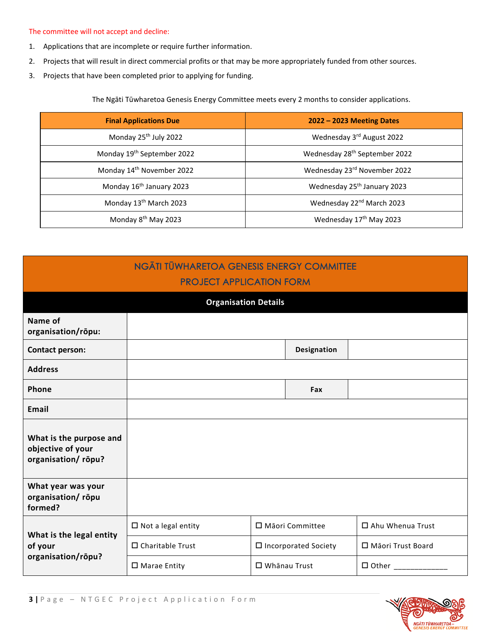### The committee will not accept and decline:

- 1. Applications that are incomplete or require further information.
- 2. Projects that will result in direct commercial profits or that may be more appropriately funded from other sources.
- 3. Projects that have been completed prior to applying for funding.

The Ngāti Tūwharetoa Genesis Energy Committee meets every 2 months to consider applications.

| <b>Final Applications Due</b>          | $2022 - 2023$ Meeting Dates               |
|----------------------------------------|-------------------------------------------|
| Monday 25 <sup>th</sup> July 2022      | Wednesday 3rd August 2022                 |
| Monday 19 <sup>th</sup> September 2022 | Wednesday 28 <sup>th</sup> September 2022 |
| Monday 14 <sup>th</sup> November 2022  | Wednesday 23rd November 2022              |
| Monday 16 <sup>th</sup> January 2023   | Wednesday 25 <sup>th</sup> January 2023   |
| Monday 13 <sup>th</sup> March 2023     | Wednesday 22 <sup>nd</sup> March 2023     |
| Monday 8 <sup>th</sup> May 2023        | Wednesday 17 <sup>th</sup> May 2023       |

| <b>NGĀTI TŪWHARETOA GENESIS ENERGY COMMITTEE</b><br><b>PROJECT APPLICATION FORM</b> |                              |                     |                        |                     |
|-------------------------------------------------------------------------------------|------------------------------|---------------------|------------------------|---------------------|
| <b>Organisation Details</b>                                                         |                              |                     |                        |                     |
| Name of<br>organisation/rōpu:                                                       |                              |                     |                        |                     |
| <b>Contact person:</b>                                                              |                              |                     | Designation            |                     |
| <b>Address</b>                                                                      |                              |                     |                        |                     |
| Phone                                                                               |                              |                     | Fax                    |                     |
| Email                                                                               |                              |                     |                        |                     |
| What is the purpose and<br>objective of your<br>organisation/rōpu?                  |                              |                     |                        |                     |
| What year was your<br>organisation/rōpu<br>formed?                                  |                              |                     |                        |                     |
| What is the legal entity                                                            | $\square$ Not a legal entity | □ Māori Committee   |                        | □ Ahu Whenua Trust  |
| of your                                                                             | □ Charitable Trust           |                     | □ Incorporated Society | □ Māori Trust Board |
| organisation/rōpu?                                                                  | □ Marae Entity               | $\Box$ Whanau Trust |                        | $\Box$ Other $\Box$ |



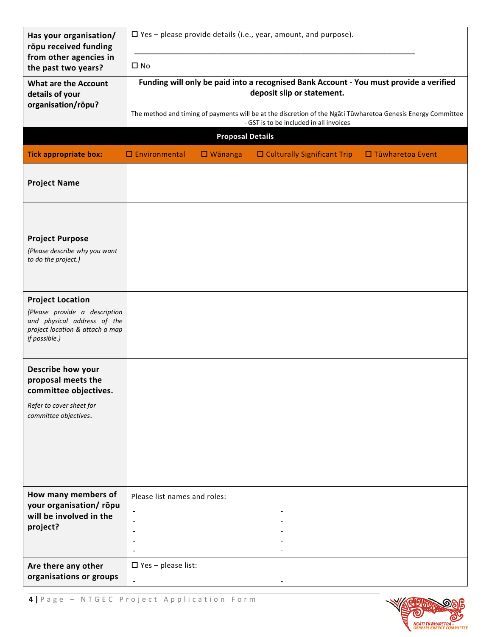| Has your organisation/<br>rōpu received funding                                                                                             | $\Box$ Yes – please provide details (i.e., year, amount, and purpose).                                                                                  |  |  |  |
|---------------------------------------------------------------------------------------------------------------------------------------------|---------------------------------------------------------------------------------------------------------------------------------------------------------|--|--|--|
| from other agencies in<br>the past two years?                                                                                               | $\square$ No                                                                                                                                            |  |  |  |
| <b>What are the Account</b><br>details of your                                                                                              | Funding will only be paid into a recognised Bank Account - You must provide a verified<br>deposit slip or statement.                                    |  |  |  |
| organisation/rōpu?                                                                                                                          | The method and timing of payments will be at the discretion of the Ngati Tūwharetoa Genesis Energy Committee<br>- GST is to be included in all invoices |  |  |  |
|                                                                                                                                             | <b>Proposal Details</b>                                                                                                                                 |  |  |  |
| <b>Tick appropriate box:</b>                                                                                                                | $\Box$ Environmental<br>$\Box$ Culturally Significant Trip<br>$\square$ Wānanga<br>$\Box$ Tūwharetoa Event                                              |  |  |  |
| <b>Project Name</b>                                                                                                                         |                                                                                                                                                         |  |  |  |
|                                                                                                                                             |                                                                                                                                                         |  |  |  |
| <b>Project Purpose</b><br>(Please describe why you want<br>to do the project.)                                                              |                                                                                                                                                         |  |  |  |
|                                                                                                                                             |                                                                                                                                                         |  |  |  |
| <b>Project Location</b><br>(Please provide a description<br>and physical address of the<br>project location & attach a map<br>if possible.) |                                                                                                                                                         |  |  |  |
| Describe how your<br>proposal meets the<br>committee objectives.                                                                            |                                                                                                                                                         |  |  |  |
| Refer to cover sheet for<br>committee objectives.                                                                                           |                                                                                                                                                         |  |  |  |
|                                                                                                                                             |                                                                                                                                                         |  |  |  |
|                                                                                                                                             |                                                                                                                                                         |  |  |  |
| How many members of<br>your organisation/rōpu                                                                                               | Please list names and roles:                                                                                                                            |  |  |  |
| will be involved in the                                                                                                                     | $\overline{a}$<br>$\overline{\phantom{a}}$                                                                                                              |  |  |  |
| project?                                                                                                                                    | $\overline{\phantom{0}}$                                                                                                                                |  |  |  |
|                                                                                                                                             |                                                                                                                                                         |  |  |  |
| Are there any other<br>organisations or groups                                                                                              | $\square$ Yes - please list:                                                                                                                            |  |  |  |

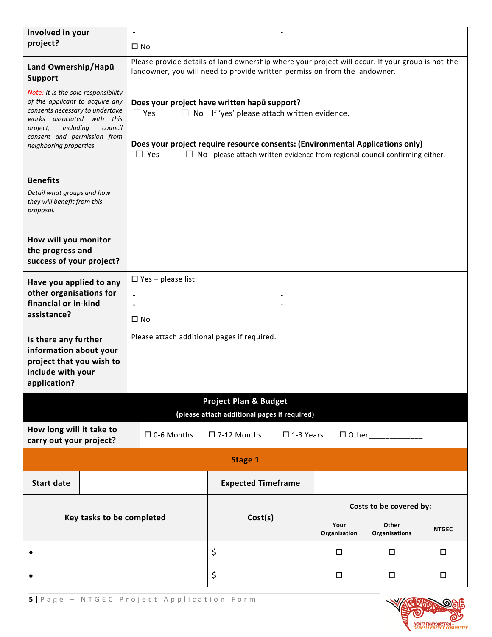| involved in your                                                                                                                                                                                                 |                                                                                                                                                | $\overline{a}$                                                                                                                                                                                                                                                                                        |                                                                                  |                      |                         |              |
|------------------------------------------------------------------------------------------------------------------------------------------------------------------------------------------------------------------|------------------------------------------------------------------------------------------------------------------------------------------------|-------------------------------------------------------------------------------------------------------------------------------------------------------------------------------------------------------------------------------------------------------------------------------------------------------|----------------------------------------------------------------------------------|----------------------|-------------------------|--------------|
| project?                                                                                                                                                                                                         |                                                                                                                                                | $\square$ No                                                                                                                                                                                                                                                                                          |                                                                                  |                      |                         |              |
| Land Ownership/Hapū<br><b>Support</b>                                                                                                                                                                            |                                                                                                                                                | Please provide details of land ownership where your project will occur. If your group is not the<br>landowner, you will need to provide written permission from the landowner.                                                                                                                        |                                                                                  |                      |                         |              |
| Note: It is the sole responsibility<br>of the applicant to acquire any<br>consents necessary to undertake<br>works associated<br>including<br>project,<br>consent and permission from<br>neighboring properties. | with this<br>council                                                                                                                           | Does your project have written hapu support?<br>$\Box$ Yes<br>$\Box$ No If 'yes' please attach written evidence.<br>Does your project require resource consents: (Environmental Applications only)<br>$\Box$ Yes<br>$\Box$ No please attach written evidence from regional council confirming either. |                                                                                  |                      |                         |              |
| <b>Benefits</b><br>Detail what groups and how<br>they will benefit from this<br>proposal.                                                                                                                        |                                                                                                                                                |                                                                                                                                                                                                                                                                                                       |                                                                                  |                      |                         |              |
| How will you monitor<br>the progress and<br>success of your project?                                                                                                                                             |                                                                                                                                                |                                                                                                                                                                                                                                                                                                       |                                                                                  |                      |                         |              |
| $\Box$ Yes - please list:<br>Have you applied to any<br>other organisations for<br>financial or in-kind<br>assistance?<br>$\square$ No                                                                           |                                                                                                                                                |                                                                                                                                                                                                                                                                                                       |                                                                                  |                      |                         |              |
| application?                                                                                                                                                                                                     | Please attach additional pages if required.<br>Is there any further<br>information about your<br>project that you wish to<br>include with your |                                                                                                                                                                                                                                                                                                       |                                                                                  |                      |                         |              |
|                                                                                                                                                                                                                  |                                                                                                                                                |                                                                                                                                                                                                                                                                                                       | <b>Project Plan &amp; Budget</b><br>(please attach additional pages if required) |                      |                         |              |
| How long will it take to<br>carry out your project?                                                                                                                                                              |                                                                                                                                                | $\Box$ 0-6 Months                                                                                                                                                                                                                                                                                     | $\square$ 7-12 Months<br>$\square$ 1-3 Years                                     |                      | $\Box$ Other            |              |
| Stage 1                                                                                                                                                                                                          |                                                                                                                                                |                                                                                                                                                                                                                                                                                                       |                                                                                  |                      |                         |              |
| <b>Start date</b>                                                                                                                                                                                                |                                                                                                                                                |                                                                                                                                                                                                                                                                                                       | <b>Expected Timeframe</b>                                                        |                      |                         |              |
|                                                                                                                                                                                                                  |                                                                                                                                                |                                                                                                                                                                                                                                                                                                       |                                                                                  |                      | Costs to be covered by: |              |
|                                                                                                                                                                                                                  | Key tasks to be completed                                                                                                                      |                                                                                                                                                                                                                                                                                                       | Cost(s)                                                                          | Your<br>Organisation | Other<br>Organisations  | <b>NTGEC</b> |
|                                                                                                                                                                                                                  |                                                                                                                                                |                                                                                                                                                                                                                                                                                                       | \$                                                                               | $\Box$               | □                       | $\Box$       |
|                                                                                                                                                                                                                  |                                                                                                                                                |                                                                                                                                                                                                                                                                                                       | \$                                                                               | $\Box$               | □                       | $\Box$       |

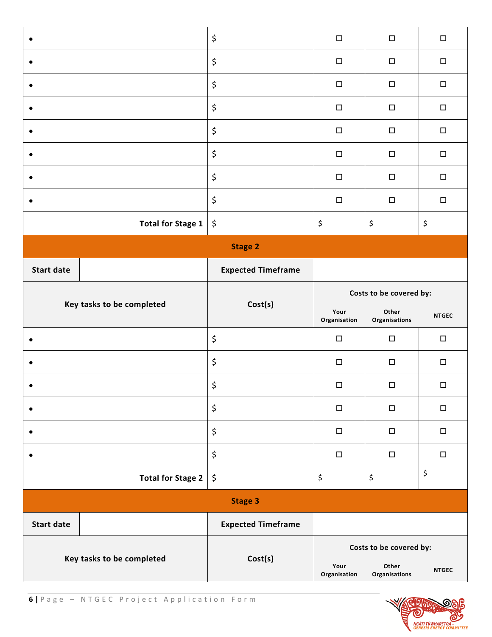| $\bullet$         |                           | \$<br>$\Box$<br>$\Box$    |                         |                                | $\Box$                         |
|-------------------|---------------------------|---------------------------|-------------------------|--------------------------------|--------------------------------|
| $\bullet$         |                           | \$                        | $\Box$                  | $\Box$                         | $\Box$                         |
| $\bullet$         |                           | \$                        | $\Box$                  | $\Box$                         | $\Box$                         |
| $\bullet$         |                           | \$                        | $\Box$                  | $\Box$                         | $\Box$                         |
|                   |                           | \$                        | $\Box$                  | $\Box$                         | $\Box$                         |
| $\bullet$         |                           | \$                        | $\Box$                  | $\Box$                         | $\Box$                         |
| $\epsilon$        |                           | \$                        | $\Box$                  | $\Box$                         | $\Box$                         |
|                   |                           | \$                        | $\Box$                  | $\Box$                         | $\Box$                         |
|                   | <b>Total for Stage 1</b>  | \$                        | \$                      | $\boldsymbol{\dot{\varsigma}}$ | $\boldsymbol{\dot{\varsigma}}$ |
|                   |                           | <b>Stage 2</b>            |                         |                                |                                |
| <b>Start date</b> |                           | <b>Expected Timeframe</b> |                         |                                |                                |
|                   |                           |                           | Costs to be covered by: |                                |                                |
|                   |                           |                           |                         |                                |                                |
|                   | Key tasks to be completed | Cost(s)                   | Your<br>Organisation    | Other<br>Organisations         | <b>NTGEC</b>                   |
|                   |                           | \$                        | $\Box$                  | $\Box$                         | $\Box$                         |
| $\bullet$         |                           | \$                        | $\Box$                  | $\Box$                         | $\Box$                         |
|                   |                           | \$                        | $\Box$                  | $\Box$                         | $\Box$                         |
| $\bullet$         |                           | \$                        | $\Box$                  | $\Box$                         | $\Box$                         |
| ٠                 |                           | \$                        | $\Box$                  | $\Box$                         | $\Box$                         |
|                   |                           | \$                        | $\Box$                  | $\Box$                         | $\Box$                         |
|                   | <b>Total for Stage 2</b>  | \$                        | \$                      | \$                             | \$                             |
|                   |                           | <b>Stage 3</b>            |                         |                                |                                |
| <b>Start date</b> |                           | <b>Expected Timeframe</b> |                         |                                |                                |

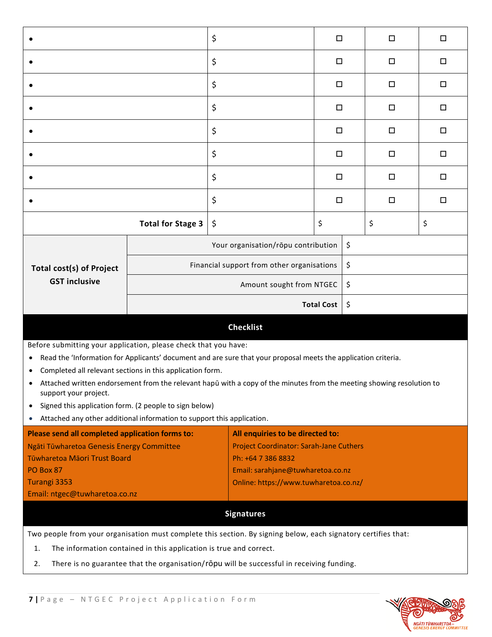|                                                                                                                                                                                                                                                                                                                                                                                                                                                                                                                                                                                          |                          | \$                                                      | □                                     |    | $\Box$ | □  |
|------------------------------------------------------------------------------------------------------------------------------------------------------------------------------------------------------------------------------------------------------------------------------------------------------------------------------------------------------------------------------------------------------------------------------------------------------------------------------------------------------------------------------------------------------------------------------------------|--------------------------|---------------------------------------------------------|---------------------------------------|----|--------|----|
|                                                                                                                                                                                                                                                                                                                                                                                                                                                                                                                                                                                          |                          | \$                                                      | $\Box$                                |    | $\Box$ | □  |
|                                                                                                                                                                                                                                                                                                                                                                                                                                                                                                                                                                                          |                          | \$                                                      | □                                     |    | □      | □  |
|                                                                                                                                                                                                                                                                                                                                                                                                                                                                                                                                                                                          |                          | \$                                                      | $\Box$                                |    | □      | □  |
|                                                                                                                                                                                                                                                                                                                                                                                                                                                                                                                                                                                          |                          | \$                                                      | $\Box$                                |    | □      | □  |
|                                                                                                                                                                                                                                                                                                                                                                                                                                                                                                                                                                                          |                          | \$                                                      | □                                     |    | □      | □  |
|                                                                                                                                                                                                                                                                                                                                                                                                                                                                                                                                                                                          |                          | \$                                                      | $\Box$                                |    | $\Box$ | □  |
|                                                                                                                                                                                                                                                                                                                                                                                                                                                                                                                                                                                          |                          |                                                         | □                                     |    | □      | □  |
|                                                                                                                                                                                                                                                                                                                                                                                                                                                                                                                                                                                          | <b>Total for Stage 3</b> | \$                                                      | \$                                    |    | \$     | \$ |
|                                                                                                                                                                                                                                                                                                                                                                                                                                                                                                                                                                                          |                          | Your organisation/rōpu contribution                     |                                       | \$ |        |    |
| <b>Total cost(s) of Project</b>                                                                                                                                                                                                                                                                                                                                                                                                                                                                                                                                                          |                          | Financial support from other organisations              |                                       | \$ |        |    |
| <b>GST inclusive</b>                                                                                                                                                                                                                                                                                                                                                                                                                                                                                                                                                                     |                          | \$<br>Amount sought from NTGEC                          |                                       |    |        |    |
|                                                                                                                                                                                                                                                                                                                                                                                                                                                                                                                                                                                          |                          |                                                         | <b>Total Cost</b>                     | \$ |        |    |
|                                                                                                                                                                                                                                                                                                                                                                                                                                                                                                                                                                                          |                          | <b>Checklist</b>                                        |                                       |    |        |    |
| Before submitting your application, please check that you have:<br>Read the 'Information for Applicants' document and are sure that your proposal meets the application criteria.<br>$\bullet$<br>Completed all relevant sections in this application form.<br>$\bullet$<br>Attached written endorsement from the relevant hapū with a copy of the minutes from the meeting showing resolution to<br>support your project.<br>Signed this application form. (2 people to sign below)<br>$\bullet$<br>Attached any other additional information to support this application.<br>$\bullet$ |                          |                                                         |                                       |    |        |    |
| Please send all completed application forms to:<br>All enquiries to be directed to:                                                                                                                                                                                                                                                                                                                                                                                                                                                                                                      |                          |                                                         |                                       |    |        |    |
| Ngāti Tūwharetoa Genesis Energy Committee                                                                                                                                                                                                                                                                                                                                                                                                                                                                                                                                                |                          | <b>Project Coordinator: Sarah-Jane Cuthers</b>          |                                       |    |        |    |
| Tūwharetoa Māori Trust Board<br>PO Box 87                                                                                                                                                                                                                                                                                                                                                                                                                                                                                                                                                |                          | Ph: +64 7 386 8832<br>Email: sarahjane@tuwharetoa.co.nz |                                       |    |        |    |
| Turangi 3353                                                                                                                                                                                                                                                                                                                                                                                                                                                                                                                                                                             |                          |                                                         | Online: https://www.tuwharetoa.co.nz/ |    |        |    |
| Email: ntgec@tuwharetoa.co.nz                                                                                                                                                                                                                                                                                                                                                                                                                                                                                                                                                            |                          |                                                         |                                       |    |        |    |
| <b>Signatures</b>                                                                                                                                                                                                                                                                                                                                                                                                                                                                                                                                                                        |                          |                                                         |                                       |    |        |    |
| Two people from your organisation must complete this section. By signing below, each signatory certifies that:                                                                                                                                                                                                                                                                                                                                                                                                                                                                           |                          |                                                         |                                       |    |        |    |

1. The information contained in this application is true and correct.

2. There is no guarantee that the organisation/rōpu will be successful in receiving funding.